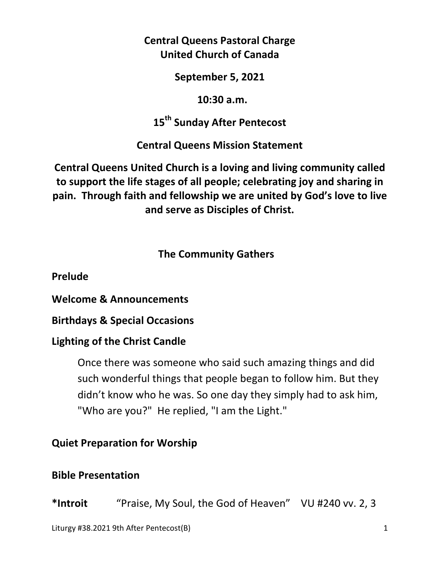**Central Queens Pastoral Charge United Church of Canada** 

**September 5, 2021** 

 **10:30 a.m.** 

**15th Sunday After Pentecost** 

**Central Queens Mission Statement** 

**Central Queens United Church is a loving and living community called to support the life stages of all people; celebrating joy and sharing in pain. Through faith and fellowship we are united by God's love to live and serve as Disciples of Christ.**

 **The Community Gathers** 

**Prelude** 

**Welcome & Announcements** 

**Birthdays & Special Occasions** 

#### **Lighting of the Christ Candle**

Once there was someone who said such amazing things and did such wonderful things that people began to follow him. But they didn't know who he was. So one day they simply had to ask him, "Who are you?" He replied, "I am the Light."

**Quiet Preparation for Worship** 

#### **Bible Presentation**

**\*Introit** "Praise, My Soul, the God of Heaven" VU #240 vv. 2, 3

Liturgy #38.2021 9th After Pentecost(B) 1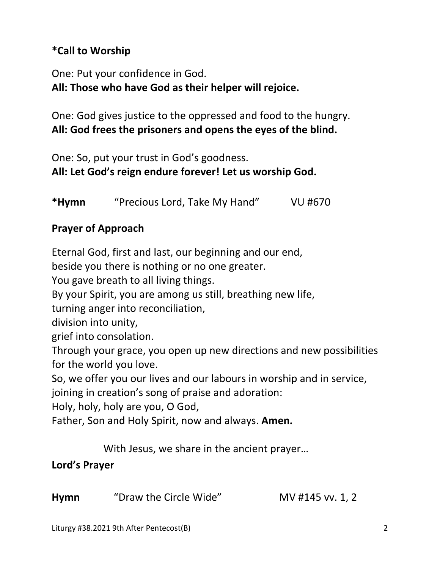# **\*Call to Worship**

One: Put your confidence in God. **All: Those who have God as their helper will rejoice.** 

One: God gives justice to the oppressed and food to the hungry. **All: God frees the prisoners and opens the eyes of the blind.** 

One: So, put your trust in God's goodness. **All: Let God's reign endure forever! Let us worship God.** 

**\*Hymn** "Precious Lord, Take My Hand" VU #670

## **Prayer of Approach**

Eternal God, first and last, our beginning and our end,

beside you there is nothing or no one greater.

You gave breath to all living things.

By your Spirit, you are among us still, breathing new life,

turning anger into reconciliation,

division into unity,

grief into consolation.

Through your grace, you open up new directions and new possibilities for the world you love.

So, we offer you our lives and our labours in worship and in service,

joining in creation's song of praise and adoration:

Holy, holy, holy are you, O God,

Father, Son and Holy Spirit, now and always. **Amen.** 

With Jesus, we share in the ancient prayer…

### **Lord's Prayer**

**Hymn** "Draw the Circle Wide"MV #145 vv. 1, 2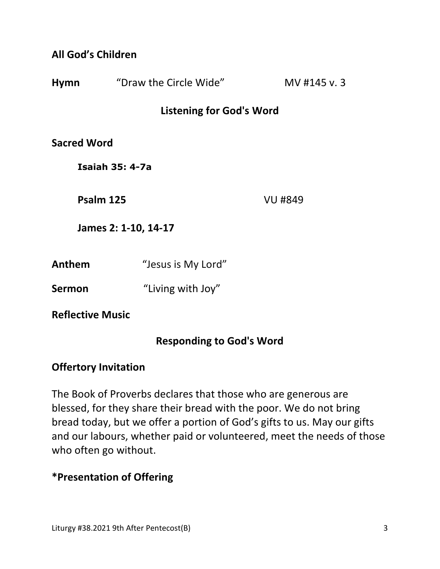#### **All God's Children**

| <b>Hymn</b>             | "Draw the Circle Wide"          | MV #145 v.3    |
|-------------------------|---------------------------------|----------------|
|                         | <b>Listening for God's Word</b> |                |
| <b>Sacred Word</b>      |                                 |                |
|                         | <b>Isaiah 35: 4-7a</b>          |                |
| Psalm 125               |                                 | <b>VU #849</b> |
| James 2: 1-10, 14-17    |                                 |                |
| Anthem                  | "Jesus is My Lord"              |                |
| <b>Sermon</b>           | "Living with Joy"               |                |
| <b>Reflective Music</b> |                                 |                |

### **Responding to God's Word**

#### **Offertory Invitation**

The Book of Proverbs declares that those who are generous are blessed, for they share their bread with the poor. We do not bring bread today, but we offer a portion of God's gifts to us. May our gifts and our labours, whether paid or volunteered, meet the needs of those who often go without.

### **\*Presentation of Offering**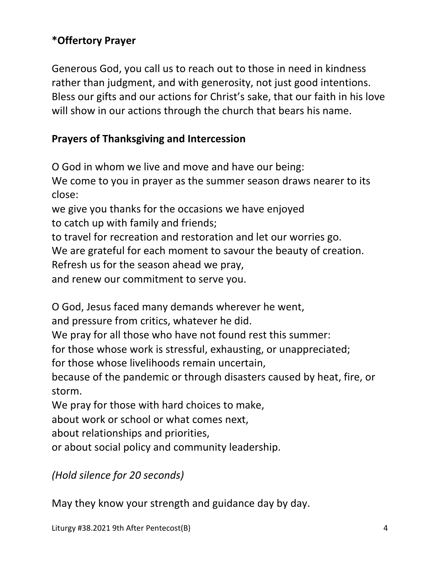# **\*Offertory Prayer**

Generous God, you call us to reach out to those in need in kindness rather than judgment, and with generosity, not just good intentions. Bless our gifts and our actions for Christ's sake, that our faith in his love will show in our actions through the church that bears his name.

## **Prayers of Thanksgiving and Intercession**

O God in whom we live and move and have our being: We come to you in prayer as the summer season draws nearer to its close: we give you thanks for the occasions we have enjoyed to catch up with family and friends; to travel for recreation and restoration and let our worries go. We are grateful for each moment to savour the beauty of creation. Refresh us for the season ahead we pray, and renew our commitment to serve you.

O God, Jesus faced many demands wherever he went,

and pressure from critics, whatever he did.

We pray for all those who have not found rest this summer:

for those whose work is stressful, exhausting, or unappreciated;

for those whose livelihoods remain uncertain,

because of the pandemic or through disasters caused by heat, fire, or storm.

We pray for those with hard choices to make,

about work or school or what comes next,

about relationships and priorities,

or about social policy and community leadership.

*(Hold silence for 20 seconds)* 

May they know your strength and guidance day by day.

Liturgy #38.2021 9th After Pentecost(B) 4